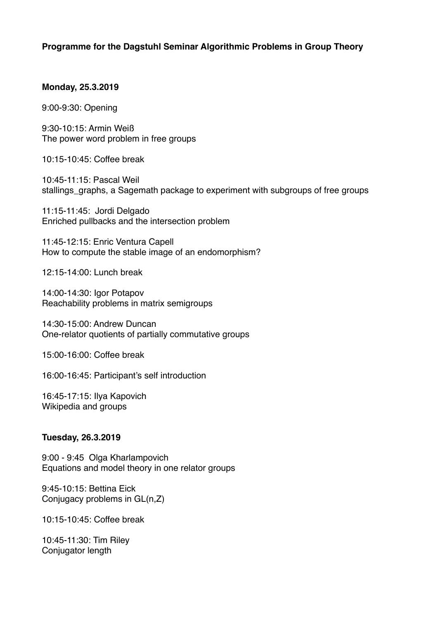# **Programme for the Dagstuhl Seminar Algorithmic Problems in Group Theory**

### **Monday, 25.3.2019**

9:00-9:30: Opening

9:30-10:15: Armin Weiß The power word problem in free groups

10:15-10:45: Coffee break

10:45-11:15: Pascal Weil stallings\_graphs, a Sagemath package to experiment with subgroups of free groups

11:15-11:45: Jordi Delgado Enriched pullbacks and the intersection problem

11:45-12:15: Enric Ventura Capell How to compute the stable image of an endomorphism?

12:15-14:00: Lunch break

14:00-14:30: Igor Potapov Reachability problems in matrix semigroups

14:30-15:00: Andrew Duncan One-relator quotients of partially commutative groups

15:00-16:00: Coffee break

16:00-16:45: Participant's self introduction

16:45-17:15: Ilya Kapovich Wikipedia and groups

## **Tuesday, 26.3.2019**

9:00 - 9:45 Olga Kharlampovich Equations and model theory in one relator groups

9:45-10:15: Bettina Eick Conjugacy problems in GL(n,Z)

10:15-10:45: Coffee break

10:45-11:30: Tim Riley Conjugator length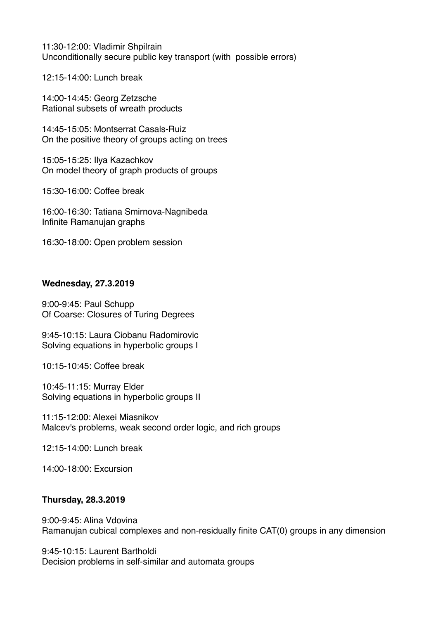11:30-12:00: Vladimir Shpilrain Unconditionally secure public key transport (with possible errors)

12:15-14:00: Lunch break

14:00-14:45: Georg Zetzsche Rational subsets of wreath products

14:45-15:05: Montserrat Casals-Ruiz On the positive theory of groups acting on trees

15:05-15:25: Ilya Kazachkov On model theory of graph products of groups

15:30-16:00: Coffee break

16:00-16:30: Tatiana Smirnova-Nagnibeda Infinite Ramanujan graphs

16:30-18:00: Open problem session

### **Wednesday, 27.3.2019**

9:00-9:45: Paul Schupp Of Coarse: Closures of Turing Degrees

9:45-10:15: Laura Ciobanu Radomirovic Solving equations in hyperbolic groups I

10:15-10:45: Coffee break

10:45-11:15: Murray Elder Solving equations in hyperbolic groups II

11:15-12:00: Alexei Miasnikov Malcev's problems, weak second order logic, and rich groups

12:15-14:00: Lunch break

14:00-18:00: Excursion

## **Thursday, 28.3.2019**

9:00-9:45: Alina Vdovina Ramanujan cubical complexes and non-residually finite CAT(0) groups in any dimension

9:45-10:15: Laurent Bartholdi Decision problems in self-similar and automata groups